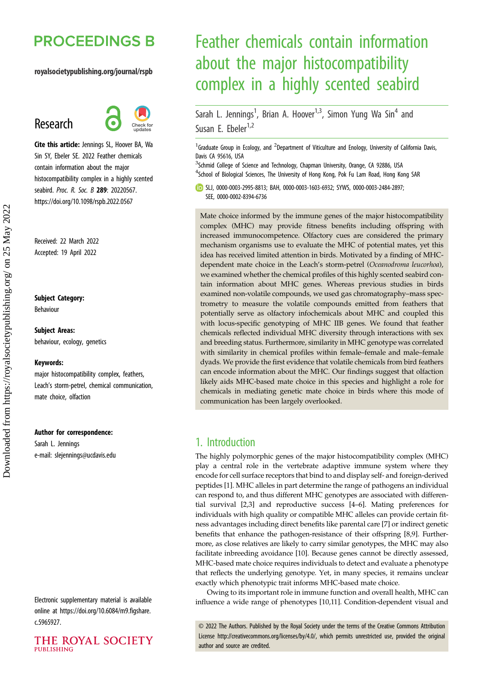# **PROCEEDINGS B**

#### royalsocietypublishing.org/journal/rspb

# Research



Cite this article: Jennings SL, Hoover BA, Wa Sin SY, Ebeler SE. 2022 Feather chemicals contain information about the major histocompatibility complex in a highly scented seabird. Proc. R. Soc. B 289: 20220567. https://doi.org/10.1098/rspb.2022.0567

Received: 22 March 2022 Accepted: 19 April 2022

#### Subject Category:

Behaviour

Subject Areas: behaviour, ecology, genetics

#### Keywords:

major histocompatibility complex, feathers, Leach's storm-petrel, chemical communication, mate choice, olfaction

#### Author for correspondence:

Sarah L. Jennings e-mail: [slejennings@ucdavis.edu](mailto:slejennings@ucdavis.edu)

Electronic supplementary material is available online at [https://doi.org/10.6084/m9.figshare.](https://doi.org/10.6084/m9.figshare.c.5965927) [c.5965927.](https://doi.org/10.6084/m9.figshare.c.5965927)

THE ROYAL SOCIETY **PUBLISHING** 

# Feather chemicals contain information about the major histocompatibility complex in a highly scented seabird

Sarah L. Jennings<sup>1</sup>, Brian A. Hoover<sup>1,3</sup>, Simon Yung Wa Sin<sup>4</sup> and Susan E. Ebeler<sup>1,2</sup>

<sup>1</sup> Graduate Group in Ecology, and <sup>2</sup> Department of Viticulture and Enology, University of California Davis, Davis CA 95616, USA

<sup>3</sup>Schmid College of Science and Technology, Chapman University, Orange, CA 92886, USA <sup>4</sup>School of Biological Sciences, The University of Hong Kong, Pok Fu Lam Road, Hong Kong SAR

SLJ, [0000-0003-2995-8813](http://orcid.org/0000-0003-2995-8813); BAH, [0000-0003-1603-6932](https://orcid.org/0000-0003-1603-6932); SYWS, [0000-0003-2484-2897;](http://orcid.org/0000-0003-2484-2897) SEE, [0000-0002-8394-6736](https://orcid.org/0000-0002-8394-6736)

Mate choice informed by the immune genes of the major histocompatibility complex (MHC) may provide fitness benefits including offspring with increased immunocompetence. Olfactory cues are considered the primary mechanism organisms use to evaluate the MHC of potential mates, yet this idea has received limited attention in birds. Motivated by a finding of MHCdependent mate choice in the Leach's storm-petrel (Oceanodroma leucorhoa), we examined whether the chemical profiles of this highly scented seabird contain information about MHC genes. Whereas previous studies in birds examined non-volatile compounds, we used gas chromatography–mass spectrometry to measure the volatile compounds emitted from feathers that potentially serve as olfactory infochemicals about MHC and coupled this with locus-specific genotyping of MHC IIB genes. We found that feather chemicals reflected individual MHC diversity through interactions with sex and breeding status. Furthermore, similarity in MHC genotype was correlated with similarity in chemical profiles within female–female and male–female dyads. We provide the first evidence that volatile chemicals from bird feathers can encode information about the MHC. Our findings suggest that olfaction likely aids MHC-based mate choice in this species and highlight a role for chemicals in mediating genetic mate choice in birds where this mode of communication has been largely overlooked.

# 1. Introduction

The highly polymorphic genes of the major histocompatibility complex (MHC) play a central role in the vertebrate adaptive immune system where they encode for cell surface receptors that bind to and display self- and foreign-derived peptides [\[1\]](#page-6-0). MHC alleles in part determine the range of pathogens an individual can respond to, and thus different MHC genotypes are associated with differential survival [[2,3\]](#page-6-0) and reproductive success [\[4](#page-6-0)–[6\]](#page-6-0). Mating preferences for individuals with high quality or compatible MHC alleles can provide certain fitness advantages including direct benefits like parental care [\[7\]](#page-6-0) or indirect genetic benefits that enhance the pathogen-resistance of their offspring [[8](#page-6-0),[9](#page-6-0)]. Furthermore, as close relatives are likely to carry similar genotypes, the MHC may also facilitate inbreeding avoidance [\[10](#page-7-0)]. Because genes cannot be directly assessed, MHC-based mate choice requires individuals to detect and evaluate a phenotype that reflects the underlying genotype. Yet, in many species, it remains unclear exactly which phenotypic trait informs MHC-based mate choice.

Owing to its important role in immune function and overall health, MHC can influence a wide range of phenotypes [[10,11](#page-7-0)]. Condition-dependent visual and

© 2022 The Authors. Published by the Royal Society under the terms of the Creative Commons Attribution License<http://creativecommons.org/licenses/by/4.0/>, which permits unrestricted use, provided the original author and source are credited.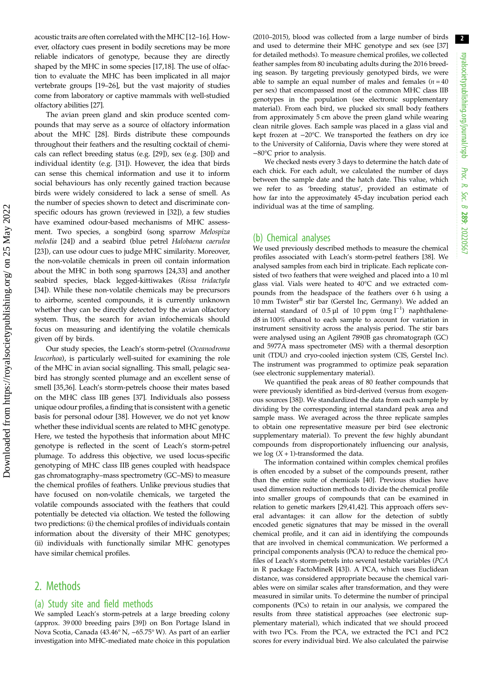2

acoustic traits are often correlated with the MHC [\[12](#page-7-0)–[16](#page-7-0)]. However, olfactory cues present in bodily secretions may be more reliable indicators of genotype, because they are directly shaped by the MHC in some species [\[17,18](#page-7-0)]. The use of olfaction to evaluate the MHC has been implicated in all major vertebrate groups [\[19](#page-7-0)–[26\]](#page-7-0), but the vast majority of studies come from laboratory or captive mammals with well-studied olfactory abilities [[27\]](#page-7-0).

The avian preen gland and skin produce scented compounds that may serve as a source of olfactory information about the MHC [\[28](#page-7-0)]. Birds distribute these compounds throughout their feathers and the resulting cocktail of chemicals can reflect breeding status (e.g. [[29\]](#page-7-0)), sex (e.g. [\[30](#page-7-0)]) and individual identity (e.g. [\[31](#page-7-0)]). However, the idea that birds can sense this chemical information and use it to inform social behaviours has only recently gained traction because birds were widely considered to lack a sense of smell. As the number of species shown to detect and discriminate conspecific odours has grown (reviewed in [\[32](#page-7-0)]), a few studies have examined odour-based mechanisms of MHC assessment. Two species, a songbird (song sparrow Melospiza melodia [[24\]](#page-7-0)) and a seabird (blue petrel Halobaena caerulea [\[23](#page-7-0)]), can use odour cues to judge MHC similarity. Moreover, the non-volatile chemicals in preen oil contain information about the MHC in both song sparrows [[24,33](#page-7-0)] and another seabird species, black legged-kittiwakes (Rissa tridactyla [\[34](#page-7-0)]). While these non-volatile chemicals may be precursors to airborne, scented compounds, it is currently unknown whether they can be directly detected by the avian olfactory system. Thus, the search for avian infochemicals should focus on measuring and identifying the volatile chemicals given off by birds.

Our study species, the Leach's storm-petrel (Oceanodroma leucorhoa), is particularly well-suited for examining the role of the MHC in avian social signalling. This small, pelagic seabird has strongly scented plumage and an excellent sense of smell [\[35,36](#page-7-0)]. Leach's storm-petrels choose their mates based on the MHC class IIB genes [\[37](#page-7-0)]. Individuals also possess unique odour profiles, a finding that is consistent with a genetic basis for personal odour [\[38](#page-7-0)]. However, we do not yet know whether these individual scents are related to MHC genotype. Here, we tested the hypothesis that information about MHC genotype is reflected in the scent of Leach's storm-petrel plumage. To address this objective, we used locus-specific genotyping of MHC class IIB genes coupled with headspace gas chromatography–mass spectrometry (GC–MS) to measure the chemical profiles of feathers. Unlike previous studies that have focused on non-volatile chemicals, we targeted the volatile compounds associated with the feathers that could potentially be detected via olfaction. We tested the following two predictions: (i) the chemical profiles of individuals contain information about the diversity of their MHC genotypes; (ii) individuals with functionally similar MHC genotypes have similar chemical profiles.

# 2. Methods

#### (a) Study site and field methods

We sampled Leach's storm-petrels at a large breeding colony (approx. 39 000 breeding pairs [[39](#page-7-0)]) on Bon Portage Island in Nova Scotia, Canada (43.46° N, −65.75° W). As part of an earlier investigation into MHC-mediated mate choice in this population (2010–2015), blood was collected from a large number of birds and used to determine their MHC genotype and sex (see [[37](#page-7-0)] for detailed methods). To measure chemical profiles, we collected feather samples from 80 incubating adults during the 2016 breeding season. By targeting previously genotyped birds, we were able to sample an equal number of males and females ( $n = 40$ ) per sex) that encompassed most of the common MHC class IIB genotypes in the population (see electronic supplementary material). From each bird, we plucked six small body feathers from approximately 5 cm above the preen gland while wearing clean nitrile gloves. Each sample was placed in a glass vial and kept frozen at −20°C. We transported the feathers on dry ice to the University of California, Davis where they were stored at −80°C prior to analysis.

We checked nests every 3 days to determine the hatch date of each chick. For each adult, we calculated the number of days between the sample date and the hatch date. This value, which we refer to as 'breeding status', provided an estimate of how far into the approximately 45-day incubation period each individual was at the time of sampling.

#### (b) Chemical analyses

We used previously described methods to measure the chemical profiles associated with Leach's storm-petrel feathers [\[38\]](#page-7-0). We analysed samples from each bird in triplicate. Each replicate consisted of two feathers that were weighed and placed into a 10 ml glass vial. Vials were heated to 40°C and we extracted compounds from the headspace of the feathers over 6 h using a 10 mm Twister® stir bar (Gerstel Inc, Germany). We added an internal standard of  $0.5 \mu l$  of 10 ppm (mg l<sup>-1</sup>) naphthalened8 in 100% ethanol to each sample to account for variation in instrument sensitivity across the analysis period. The stir bars were analysed using an Agilent 7890B gas chromatograph (GC) and 5977A mass spectrometer (MS) with a thermal desorption unit (TDU) and cryo-cooled injection system (CIS, Gerstel Inc). The instrument was programmed to optimize peak separation (see electronic supplementary material).

We quantified the peak areas of 80 feather compounds that were previously identified as bird-derived (versus from exogenous sources [[38](#page-7-0)]). We standardized the data from each sample by dividing by the corresponding internal standard peak area and sample mass. We averaged across the three replicate samples to obtain one representative measure per bird (see electronic supplementary material). To prevent the few highly abundant compounds from disproportionately influencing our analysis, we  $log (X + 1)$ -transformed the data.

The information contained within complex chemical profiles is often encoded by a subset of the compounds present, rather than the entire suite of chemicals [[40](#page-7-0)]. Previous studies have used dimension reduction methods to divide the chemical profile into smaller groups of compounds that can be examined in relation to genetic markers [\[29,41,42\]](#page-7-0). This approach offers several advantages: it can allow for the detection of subtly encoded genetic signatures that may be missed in the overall chemical profile, and it can aid in identifying the compounds that are involved in chemical communication. We performed a principal components analysis (PCA) to reduce the chemical profiles of Leach's storm-petrels into several testable variables (PCA in R package FactoMineR [[43](#page-7-0)]). A PCA, which uses Euclidean distance, was considered appropriate because the chemical variables were on similar scales after transformation, and they were measured in similar units. To determine the number of principal components (PCs) to retain in our analysis, we compared the results from three statistical approaches (see electronic supplementary material), which indicated that we should proceed with two PCs. From the PCA, we extracted the PC1 and PC2 scores for every individual bird. We also calculated the pairwise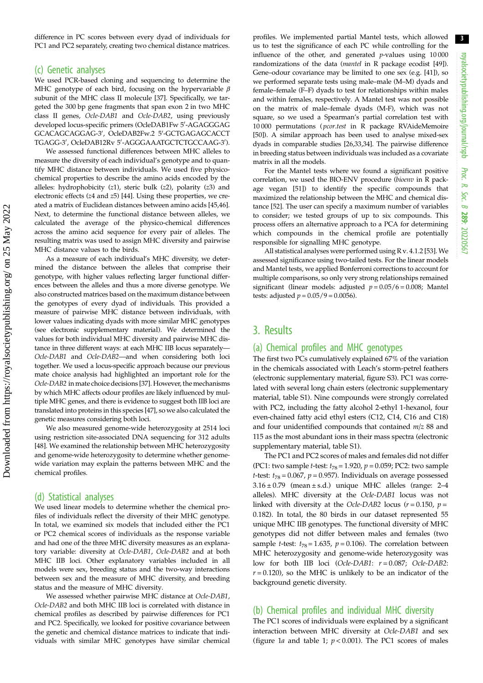difference in PC scores between every dyad of individuals for PC1 and PC2 separately, creating two chemical distance matrices.

#### (c) Genetic analyses

We used PCR-based cloning and sequencing to determine the MHC genotype of each bird, focusing on the hypervariable  $\beta$ subunit of the MHC class II molecule [\[37\]](#page-7-0). Specifically, we targeted the 300 bp gene fragments that span exon 2 in two MHC class II genes, Ocle-DAB1 and Ocle-DAB2, using previously developed locus-specific primers (OcleDAB1Fw 5′-AGAGGGAG GCACAGCAGGAG-3<sup>0</sup> , OcleDAB2Fw.2 5<sup>0</sup> -GCTGAGAGCACCT TGAGG-3<sup>0</sup> , OcleDAB12Rv 5<sup>0</sup> -AGGGAAATGCTCTGCCAAG-3<sup>0</sup> ).

We assessed functional differences between MHC alleles to measure the diversity of each individual's genotype and to quantify MHC distance between individuals. We used five physicochemical properties to describe the amino acids encoded by the alleles: hydrophobicity (z1), steric bulk (z2), polarity (z3) and electronic effects (z4 and z5) [\[44\]](#page-7-0). Using these properties, we created a matrix of Euclidean distances between amino acids [\[45,46\]](#page-7-0). Next, to determine the functional distance between alleles, we calculated the average of the physico-chemical differences across the amino acid sequence for every pair of alleles. The resulting matrix was used to assign MHC diversity and pairwise MHC distance values to the birds.

As a measure of each individual's MHC diversity, we determined the distance between the alleles that comprise their genotype, with higher values reflecting larger functional differences between the alleles and thus a more diverse genotype. We also constructed matrices based on the maximum distance between the genotypes of every dyad of individuals. This provided a measure of pairwise MHC distance between individuals, with lower values indicating dyads with more similar MHC genotypes (see electronic supplementary material). We determined the values for both individual MHC diversity and pairwise MHC distance in three different ways: at each MHC IIB locus separately— Ocle-DAB1 and Ocle-DAB2—and when considering both loci together. We used a locus-specific approach because our previous mate choice analysis had highlighted an important role for the Ocle-DAB2 in mate choice decisions [\[37\]](#page-7-0). However, the mechanisms by which MHC affects odour profiles are likely influenced by multiple MHC genes, and there is evidence to suggest both IIB loci are translated into proteins in this species [\[47](#page-7-0)], so we also calculated the genetic measures considering both loci.

We also measured genome-wide heterozygosity at 2514 loci using restriction site-associated DNA sequencing for 312 adults [\[48\]](#page-7-0). We examined the relationship between MHC heterozygosity and genome-wide heterozygosity to determine whether genomewide variation may explain the patterns between MHC and the chemical profiles.

#### (d) Statistical analyses

We used linear models to determine whether the chemical profiles of individuals reflect the diversity of their MHC genotype. In total, we examined six models that included either the PC1 or PC2 chemical scores of individuals as the response variable and had one of the three MHC diversity measures as an explanatory variable: diversity at Ocle-DAB1, Ocle-DAB2 and at both MHC IIB loci. Other explanatory variables included in all models were sex, breeding status and the two-way interactions between sex and the measure of MHC diversity, and breeding status and the measure of MHC diversity.

We assessed whether pairwise MHC distance at Ocle-DAB1, Ocle-DAB2 and both MHC IIB loci is correlated with distance in chemical profiles as described by pairwise differences for PC1 and PC2. Specifically, we looked for positive covariance between the genetic and chemical distance matrices to indicate that individuals with similar MHC genotypes have similar chemical profiles. We implemented partial Mantel tests, which allowed us to test the significance of each PC while controlling for the influence of the other, and generated  $p$ -values using  $10000$ randomizations of the data (mantel in R package ecodist [[49](#page-8-0)]). Gene–odour covariance may be limited to one sex (e.g. [[41](#page-7-0)]), so we performed separate tests using male–male (M–M) dyads and female–female (F–F) dyads to test for relationships within males and within females, respectively. A Mantel test was not possible on the matrix of male–female dyads (M-F), which was not square, so we used a Spearman's partial correlation test with 10 000 permutations ( pcor.test in R package RVAideMemoire [[50](#page-8-0)]). A similar approach has been used to analyse mixed-sex dyads in comparable studies [[26,33,34](#page-7-0)]. The pairwise difference in breeding status between individuals was included as a covariate matrix in all the models.

For the Mantel tests where we found a significant positive correlation, we used the BIO-ENV procedure (bioenv in R package vegan [[51](#page-8-0)]) to identify the specific compounds that maximized the relationship between the MHC and chemical distance [[52](#page-8-0)]. The user can specify a maximum number of variables to consider; we tested groups of up to six compounds. This process offers an alternative approach to a PCA for determining which compounds in the chemical profile are potentially responsible for signalling MHC genotype.

All statistical analyses were performed using R v. 4.1.2 [[53](#page-8-0)]. We assessed significance using two-tailed tests. For the linear models and Mantel tests, we applied Bonferroni corrections to account for multiple comparisons, so only very strong relationships remained significant (linear models: adjusted  $p = 0.05/6 = 0.008$ ; Mantel tests: adjusted  $p = 0.05/9 = 0.0056$ .

## 3. Results

#### (a) Chemical profiles and MHC genotypes

The first two PCs cumulatively explained 67% of the variation in the chemicals associated with Leach's storm-petrel feathers (electronic supplementary material, figure S3). PC1 was correlated with several long chain esters (electronic supplementary material, table S1). Nine compounds were strongly correlated with PC2, including the fatty alcohol 2-ethyl 1-hexanol, four even-chained fatty acid ethyl esters (C12, C14, C16 and C18) and four unidentified compounds that contained  $m/z$  88 and 115 as the most abundant ions in their mass spectra (electronic supplementary material, table S1).

The PC1 and PC2 scores of males and females did not differ (PC1: two sample *t*-test:  $t_{78}$  = 1.920,  $p$  = 0.059; PC2: two sample *t*-test:  $t_{78}$  = 0.067,  $p$  = 0.957). Individuals on average possessed  $3.16 \pm 0.79$  (mean  $\pm$  s.d.) unique MHC alleles (range: 2-4 alleles). MHC diversity at the Ocle-DAB1 locus was not linked with diversity at the Ocle-DAB2 locus ( $r = 0.150$ ,  $p =$ 0.182). In total, the 80 birds in our dataset represented 55 unique MHC IIB genotypes. The functional diversity of MHC genotypes did not differ between males and females (two sample *t*-test:  $t_{78}$  = 1.635,  $p$  = 0.106). The correlation between MHC heterozygosity and genome-wide heterozygosity was low for both IIB loci (Ocle-DAB1:  $r = 0.087$ ; Ocle-DAB2:  $r = 0.120$ ), so the MHC is unlikely to be an indicator of the background genetic diversity.

### (b) Chemical profiles and individual MHC diversity

The PC1 scores of individuals were explained by a significant interaction between MHC diversity at Ocle-DAB1 and sex ([figure 1](#page-3-0)a and [table 1;](#page-3-0)  $p < 0.001$ ). The PC1 scores of males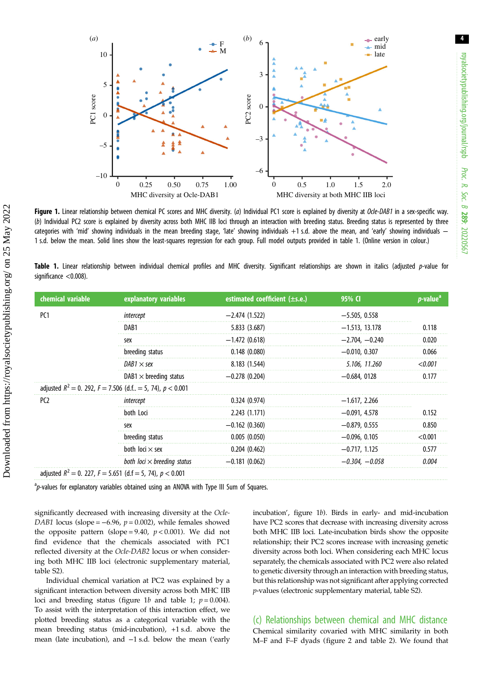<span id="page-3-0"></span>

Figure 1. Linear relationship between chemical PC scores and MHC diversity. (a) Individual PC1 score is explained by diversity at Ocle-DAB1 in a sex-specific way. (b) Individual PC2 score is explained by diversity across both MHC IIB loci through an interaction with breeding status. Breeding status is represented by three categories with 'mid' showing individuals in the mean breeding stage, 'late' showing individuals +1 s.d. above the mean, and 'early' showing individuals − 1 s.d. below the mean. Solid lines show the least-squares regression for each group. Full model outputs provided in table 1. (Online version in colour.)

Table 1. Linear relationship between individual chemical profiles and MHC diversity. Significant relationships are shown in italics (adjusted p-value for significance <0.008).

| chemical variable | explanatory variables                                              | estimated coefficient (±s.e.) | 95% C            | $p$ -value <sup><math>a</math></sup> |
|-------------------|--------------------------------------------------------------------|-------------------------------|------------------|--------------------------------------|
| PC <sub>1</sub>   | intercept                                                          | $-2.474(1.522)$               | $-5.505, 0.558$  |                                      |
|                   | DAB1                                                               | 5.833 (3.687)                 | $-1.513, 13.178$ | 0.118                                |
|                   | sex                                                                | $-1.472(0.618)$               | $-2.704, -0.240$ | 0.020                                |
|                   | breeding status                                                    | 0.148(0.080)                  | $-0.010, 0.307$  | 0.066                                |
|                   | DAB1 $\times$ sex                                                  | 8.183 (1.544)                 | 5.106, 11.260    | < 0.001                              |
|                   | $DAB1 \times$ breeding status                                      | $-0.278(0.204)$               | $-0.684, 0128$   | 0.177                                |
|                   | adjusted $R^2 = 0$ . 292, $F = 7.506$ (d.f., = 5, 74), $p < 0.001$ |                               |                  |                                      |
| PC <sub>2</sub>   | intercept                                                          | 0.324(0.974)                  | $-1.617, 2.266$  |                                      |
|                   | both Loci                                                          | 2.243 (1.171)                 | $-0.091, 4.578$  | 0.152                                |
|                   | sex                                                                | $-0.162(0.360)$               | $-0.879, 0.555$  | 0.850                                |
|                   | breeding status                                                    | 0.005(0.050)                  | $-0.096, 0.105$  | < 0.001                              |
|                   | both $loci \times$ sex                                             | 0.204(0.462)                  | $-0.717, 1.125$  | 0.577                                |
|                   | both loci $\times$ breeding status                                 | $-0.181(0.062)$               | $-0.304, -0.058$ | 0.004                                |
|                   | adjusted $R^2 = 0$ . 227, $F = 5.651$ (d.f = 5, 74), $p < 0.001$   |                               |                  |                                      |

<sup>a</sup>p-values for explanatory variables obtained using an ANOVA with Type III Sum of Squares.

significantly decreased with increasing diversity at the Ocle-DAB1 locus (slope =  $-6.96$ ,  $p = 0.002$ ), while females showed the opposite pattern (slope = 9.40,  $p < 0.001$ ). We did not find evidence that the chemicals associated with PC1 reflected diversity at the Ocle-DAB2 locus or when considering both MHC IIB loci (electronic supplementary material, table S2).

Individual chemical variation at PC2 was explained by a significant interaction between diversity across both MHC IIB loci and breeding status (figure 1b and table 1;  $p = 0.004$ ). To assist with the interpretation of this interaction effect, we plotted breeding status as a categorical variable with the mean breeding status (mid-incubation), +1 s.d. above the mean (late incubation), and −1 s.d. below the mean ('early

incubation', figure 1b). Birds in early- and mid-incubation have PC2 scores that decrease with increasing diversity across both MHC IIB loci. Late-incubation birds show the opposite relationship; their PC2 scores increase with increasing genetic diversity across both loci. When considering each MHC locus separately, the chemicals associated with PC2 were also related to genetic diversity through an interaction with breeding status, but this relationship was not significant after applying corrected p-values (electronic supplementary material, table S2).

(c) Relationships between chemical and MHC distance Chemical similarity covaried with MHC similarity in both M–F and F–F dyads [\(figure 2](#page-4-0) and [table 2](#page-4-0)). We found that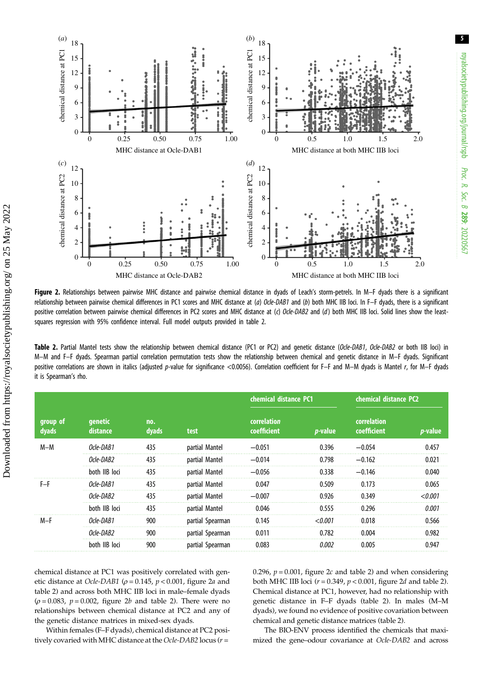<span id="page-4-0"></span>

Figure 2. Relationships between pairwise MHC distance and pairwise chemical distance in dyads of Leach's storm-petrels. In M-F dyads there is a significant relationship between pairwise chemical differences in PC1 scores and MHC distance at (a) Ocle-DAB1 and (b) both MHC IIB loci. In F-F dyads, there is a significant positive correlation between pairwise chemical differences in PC2 scores and MHC distance at (c) Ocle-DAB2 and (d) both MHC IIB loci. Solid lines show the leastsquares regression with 95% confidence interval. Full model outputs provided in table 2.

Table 2. Partial Mantel tests show the relationship between chemical distance (PC1 or PC2) and genetic distance (Ocle-DAB1, Ocle-DAB2 or both IIB loci) in M–M and F–F dyads. Spearman partial correlation permutation tests show the relationship between chemical and genetic distance in M–F dyads. Significant positive correlations are shown in italics (adjusted p-value for significance <0.0056). Correlation coefficient for F–F and M–M dyads is Mantel r, for M–F dyads it is Spearman's rho.

|                   | genetic<br>distance | no.<br>dyads | test             | chemical distance PC1      |                 | chemical distance PC2      |                 |
|-------------------|---------------------|--------------|------------------|----------------------------|-----------------|----------------------------|-----------------|
| group of<br>dyads |                     |              |                  | correlation<br>coefficient | <i>p</i> -value | correlation<br>coefficient | <i>p</i> -value |
| $M-M$             | Ocle-DAR1           | 435          | partial Mantel   | $-0.051$                   | 0.396           | $-0.054$                   | 0.457           |
|                   | Ocle-DAB2           | 435          | partial Mantel   | $-0.014$                   | 0.798           | $-0.162$                   | 0.021           |
|                   | both IIB loci       | 435          | partial Mantel   | $-0.056$                   | 0.338           | $-0.146$                   | 0.040           |
| F-F               | Ocle-DAR1           | 435          | partial Mantel   | 0.047                      | 0.509           | 0.173                      | 0.065           |
|                   | Ocle-DAB2           | 435          | partial Mantel   | $-0.007$                   | 0.926           | 0.349                      | < 0.001         |
|                   | both IIB loci       | 435          | partial Mantel   | 0.046                      | 0.555           | 0.296                      | 0.001           |
| $M-F$             | Ocle-DAB1           | 900          | partial Spearman | 0.145                      | < 0.001         | 0.018                      | 0.566           |
|                   | Ocle-DAB2           | 900          | partial Spearman | 0.011                      | 0.782           | 0.004                      | 0.982           |
|                   | both IIB loci       | 900          | partial Spearman | 0.083                      | 0.002           | 0.005                      | 0.947           |

chemical distance at PC1 was positively correlated with genetic distance at Ocle-DAB1 ( $\rho = 0.145$ ,  $p < 0.001$ , figure 2*a* and table 2) and across both MHC IIB loci in male–female dyads  $(\rho = 0.083, p = 0.002,$  figure 2b and table 2). There were no relationships between chemical distance at PC2 and any of the genetic distance matrices in mixed-sex dyads.

Within females (F–F dyads), chemical distance at PC2 positively covaried with MHC distance at the Ocle-DAB2 locus ( $r =$ 

0.296,  $p = 0.001$ , figure 2c and table 2) and when considering both MHC IIB loci ( $r = 0.349$ ,  $p < 0.001$ , figure 2d and table 2). Chemical distance at PC1, however, had no relationship with genetic distance in F–F dyads (table 2). In males (M–M dyads), we found no evidence of positive covariation between chemical and genetic distance matrices (table 2).

The BIO-ENV process identified the chemicals that maximized the gene–odour covariance at Ocle-DAB2 and across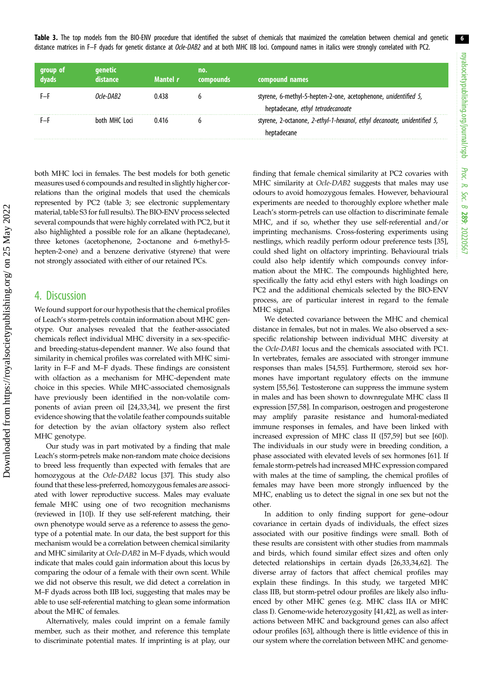6

Table 3. The top models from the BIO-ENV procedure that identified the subset of chemicals that maximized the correlation between chemical and genetic distance matrices in F-F dyads for genetic distance at Ocle-DAB2 and at both MHC IIB loci. Compound names in italics were strongly correlated with PC2.

| group of<br>dyads | <b>genetic</b><br>distance | Mantel r | no.<br>compounds | compound names                                                                                       |
|-------------------|----------------------------|----------|------------------|------------------------------------------------------------------------------------------------------|
|                   | Orle-DAR2                  | ) 438    |                  | styrene, 6-methyl-5-hepten-2-one, acetophenone, unidentified 5,<br>heptadecane, ethyl tetradecanoate |
|                   | both MHC Loci              | 0416     |                  | styrene, 2-octanone, 2-ethyl-1-hexanol, ethyl decanoate, unidentified 5,<br>heptadecane              |

both MHC loci in females. The best models for both genetic measures used 6 compounds and resulted in slightly higher correlations than the original models that used the chemicals represented by PC2 (table 3; see electronic supplementary material, table S3 for full results). The BIO-ENV process selected several compounds that were highly correlated with PC2, but it also highlighted a possible role for an alkane (heptadecane), three ketones (acetophenone, 2-octanone and 6-methyl-5 hepten-2-one) and a benzene derivative (styrene) that were not strongly associated with either of our retained PCs.

## 4. Discussion

We found support for our hypothesis that the chemical profiles of Leach's storm-petrels contain information about MHC genotype. Our analyses revealed that the feather-associated chemicals reflect individual MHC diversity in a sex-specificand breeding-status-dependent manner. We also found that similarity in chemical profiles was correlated with MHC similarity in F–F and M–F dyads. These findings are consistent with olfaction as a mechanism for MHC-dependent mate choice in this species. While MHC-associated chemosignals have previously been identified in the non-volatile components of avian preen oil [[24,33,34](#page-7-0)], we present the first evidence showing that the volatile feather compounds suitable for detection by the avian olfactory system also reflect MHC genotype.

Our study was in part motivated by a finding that male Leach's storm-petrels make non-random mate choice decisions to breed less frequently than expected with females that are homozygous at the Ocle-DAB2 locus [\[37](#page-7-0)]. This study also found that these less-preferred, homozygous females are associated with lower reproductive success. Males may evaluate female MHC using one of two recognition mechanisms (reviewed in [[10\]](#page-7-0)). If they use self-referent matching, their own phenotype would serve as a reference to assess the genotype of a potential mate. In our data, the best support for this mechanism would be a correlation between chemical similarity and MHC similarity at Ocle-DAB2 in M–F dyads, which would indicate that males could gain information about this locus by comparing the odour of a female with their own scent. While we did not observe this result, we did detect a correlation in M–F dyads across both IIB loci, suggesting that males may be able to use self-referential matching to glean some information about the MHC of females.

Alternatively, males could imprint on a female family member, such as their mother, and reference this template to discriminate potential mates. If imprinting is at play, our finding that female chemical similarity at PC2 covaries with MHC similarity at Ocle-DAB2 suggests that males may use odours to avoid homozygous females. However, behavioural experiments are needed to thoroughly explore whether male Leach's storm-petrels can use olfaction to discriminate female MHC, and if so, whether they use self-referential and/or imprinting mechanisms. Cross-fostering experiments using nestlings, which readily perform odour preference tests [[35\]](#page-7-0), could shed light on olfactory imprinting. Behavioural trials could also help identify which compounds convey information about the MHC. The compounds highlighted here, specifically the fatty acid ethyl esters with high loadings on PC2 and the additional chemicals selected by the BIO-ENV process, are of particular interest in regard to the female MHC signal.

We detected covariance between the MHC and chemical distance in females, but not in males. We also observed a sexspecific relationship between individual MHC diversity at the Ocle-DAB1 locus and the chemicals associated with PC1. In vertebrates, females are associated with stronger immune responses than males [[54,55](#page-8-0)]. Furthermore, steroid sex hormones have important regulatory effects on the immune system [\[55,56](#page-8-0)]. Testosterone can suppress the immune system in males and has been shown to downregulate MHC class II expression [[57,58\]](#page-8-0). In comparison, oestrogen and progesterone may amplify parasite resistance and humoral-mediated immune responses in females, and have been linked with increased expression of MHC class II ([\[57,59](#page-8-0)] but see [[60\]](#page-8-0)). The individuals in our study were in breeding condition, a phase associated with elevated levels of sex hormones [\[61](#page-8-0)]. If female storm-petrels had increased MHC expression compared with males at the time of sampling, the chemical profiles of females may have been more strongly influenced by the MHC, enabling us to detect the signal in one sex but not the other.

In addition to only finding support for gene–odour covariance in certain dyads of individuals, the effect sizes associated with our positive findings were small. Both of these results are consistent with other studies from mammals and birds, which found similar effect sizes and often only detected relationships in certain dyads [\[26,33,34](#page-7-0)[,62](#page-8-0)]. The diverse array of factors that affect chemical profiles may explain these findings. In this study, we targeted MHC class IIB, but storm-petrel odour profiles are likely also influenced by other MHC genes (e.g. MHC class IIA or MHC class I). Genome-wide heterozygosity [\[41,42](#page-7-0)], as well as interactions between MHC and background genes can also affect odour profiles [\[63\]](#page-8-0), although there is little evidence of this in our system where the correlation between MHC and genome-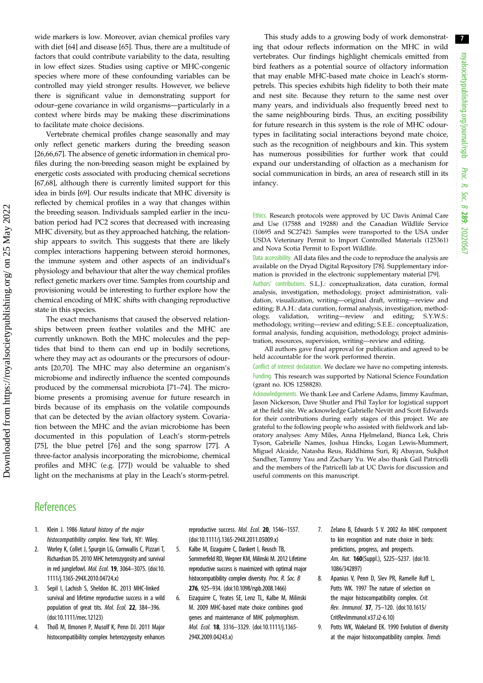7

<span id="page-6-0"></span>wide markers is low. Moreover, avian chemical profiles vary with diet [[64\]](#page-8-0) and disease [[65\]](#page-8-0). Thus, there are a multitude of factors that could contribute variability to the data, resulting in low effect sizes. Studies using captive or MHC-congenic species where more of these confounding variables can be controlled may yield stronger results. However, we believe there is significant value in demonstrating support for odour–gene covariance in wild organisms—particularly in a context where birds may be making these discriminations to facilitate mate choice decisions.

Vertebrate chemical profiles change seasonally and may only reflect genetic markers during the breeding season [\[26](#page-7-0)[,66](#page-8-0),[67](#page-8-0)]. The absence of genetic information in chemical profiles during the non-breeding season might be explained by energetic costs associated with producing chemical secretions [\[67,68](#page-8-0)], although there is currently limited support for this idea in birds [[69](#page-8-0)]. Our results indicate that MHC diversity is reflected by chemical profiles in a way that changes within the breeding season. Individuals sampled earlier in the incubation period had PC2 scores that decreased with increasing MHC diversity, but as they approached hatching, the relationship appears to switch. This suggests that there are likely complex interactions happening between steroid hormones, the immune system and other aspects of an individual's physiology and behaviour that alter the way chemical profiles reflect genetic markers over time. Samples from courtship and provisioning would be interesting to further explore how the chemical encoding of MHC shifts with changing reproductive state in this species.

The exact mechanisms that caused the observed relationships between preen feather volatiles and the MHC are currently unknown. Both the MHC molecules and the peptides that bind to them can end up in bodily secretions, where they may act as odourants or the precursors of odourants [[20](#page-7-0)[,70](#page-8-0)]. The MHC may also determine an organism's microbiome and indirectly influence the scented compounds produced by the commensal microbiota [[71](#page-8-0)–[74](#page-8-0)]. The microbiome presents a promising avenue for future research in birds because of its emphasis on the volatile compounds that can be detected by the avian olfactory system. Covariation between the MHC and the avian microbiome has been documented in this population of Leach's storm-petrels [\[75](#page-8-0)], the blue petrel [\[76](#page-8-0)] and the song sparrow [[77\]](#page-8-0). A three-factor analysis incorporating the microbiome, chemical profiles and MHC (e.g. [[77\]](#page-8-0)) would be valuable to shed light on the mechanisms at play in the Leach's storm-petrel.

This study adds to a growing body of work demonstrating that odour reflects information on the MHC in wild vertebrates. Our findings highlight chemicals emitted from bird feathers as a potential source of olfactory information that may enable MHC-based mate choice in Leach's stormpetrels. This species exhibits high fidelity to both their mate and nest site. Because they return to the same nest over many years, and individuals also frequently breed next to the same neighbouring birds. Thus, an exciting possibility for future research in this system is the role of MHC odourtypes in facilitating social interactions beyond mate choice, such as the recognition of neighbours and kin. This system has numerous possibilities for further work that could expand our understanding of olfaction as a mechanism for social communication in birds, an area of research still in its infancy.

Ethics. Research protocols were approved by UC Davis Animal Care and Use (17588 and 19288) and the Canadian Wildlife Service (10695 and SC2742). Samples were transported to the USA under USDA Veterinary Permit to Import Controlled Materials (125361) and Nova Scotia Permit to Export Wildlife.

Data accessibility. All data files and the code to reproduce the analysis are available on the Dryad Digital Repository [[78\]](#page-8-0). Supplementary information is provided in the electronic supplementary material [\[79](#page-8-0)].

Authors' contributions. S.L.J.: conceptualization, data curation, formal analysis, investigation, methodology, project administration, validation, visualization, writing—original draft, writing—review and editing; B.A.H.: data curation, formal analysis, investigation, methodology, validation, writing—review and editing; S.Y.W.S.: methodology, writing—review and editing; S.E.E.: conceptualization, formal analysis, funding acquisition, methodology, project administration, resources, supervision, writing—review and editing.

All authors gave final approval for publication and agreed to be held accountable for the work performed therein.

Conflict of interest declaration. We declare we have no competing interests. Funding. This research was supported by National Science Foundation (grant no. IOS 1258828).

Acknowledgements. We thank Lee and Carlene Adams, Jimmy Kaufman, Jason Nickerson, Dave Shutler and Phil Taylor for logistical support at the field site. We acknowledge Gabrielle Nevitt and Scott Edwards for their contributions during early stages of this project. We are grateful to the following people who assisted with fieldwork and laboratory analyses: Amy Miles, Anna Hjelmeland, Bianca Lek, Chris Tyson, Gabrielle Names, Joshua Hincks, Logan Lewis-Mummert, Miguel Alcaide, Natasha Reus, Riddhima Suri, Rj Abayan, Sukjhot Sandher, Tammy Yau and Zachary Yu. We also thank Gail Patricelli and the members of the Patricelli lab at UC Davis for discussion and useful comments on this manuscript.

# **References**

- 1. Klein J. 1986 Natural history of the major histocompatibility complex. New York, NY: Wiley.
- 2. Worley K, Collet J, Spurgin LG, Cornwallis C, Pizzari T, Richardson DS. 2010 MHC heterozygosity and survival in red junglefowl. Mol. Ecol. 19, 3064–3075. ([doi:10.](http://dx.doi.org/10.1111/j.1365-294X.2010.04724.x) [1111/j.1365-294X.2010.04724.x](http://dx.doi.org/10.1111/j.1365-294X.2010.04724.x))
- 3. Sepil I, Lachish S, Sheldon BC. 2013 MHC-linked survival and lifetime reproductive success in a wild population of great tits. Mol. Ecol. 22, 384–396. [\(doi:10.1111/mec.12123\)](http://dx.doi.org/10.1111/mec.12123)
- 4. Thoß M, Ilmonen P, Musolf K, Penn DJ. 2011 Major histocompatibility complex heterozygosity enhances

reproductive success. Mol. Ecol. 20, 1546-1557. [\(doi:10.1111/j.1365-294X.2011.05009.x](http://dx.doi.org/10.1111/j.1365-294X.2011.05009.x))

- 5. Kalbe M, Eizaguirre C, Dankert I, Reusch TB, Sommerfeld RD, Wegner KM, Milinski M. 2012 Lifetime reproductive success is maximized with optimal major histocompatibility complex diversity. Proc. R. Soc. B 276, 925–934. ([doi:10.1098/rspb.2008.1466\)](http://dx.doi.org/10.1098/rspb.2008.1466)
- 6. Eizaguirre C, Yeates SE, Lenz TL, Kalbe M, Milinski M. 2009 MHC-based mate choice combines good genes and maintenance of MHC polymorphism. Mol. Ecol. 18, 3316–3329. [\(doi:10.1111/j.1365-](http://dx.doi.org/10.1111/j.1365-294X.2009.04243.x) [294X.2009.04243.x\)](http://dx.doi.org/10.1111/j.1365-294X.2009.04243.x)
- 7. Zelano B, Edwards S V. 2002 An MHC component to kin recognition and mate choice in birds: predictions, progress, and prospects. Am. Nat. 160(Suppl.), S225–S237. [\(doi:10.](http://dx.doi.org/10.1086/342897) [1086/342897\)](http://dx.doi.org/10.1086/342897)
- 8. Apanius V, Penn D, Slev PR, Ramelle Ruff L, Potts WK. 1997 The nature of selection on the major histocompatibility complex. Crit. Rev. Immunol. 37, 75–120. ([doi:10.1615/](http://dx.doi.org/10.1615/CritRevImmunol.v37.i2-6.10) [CritRevImmunol.v37.i2-6.10](http://dx.doi.org/10.1615/CritRevImmunol.v37.i2-6.10))
- 9. Potts WK, Wakeland EK. 1990 Evolution of diversity at the major histocompatibility complex. Trends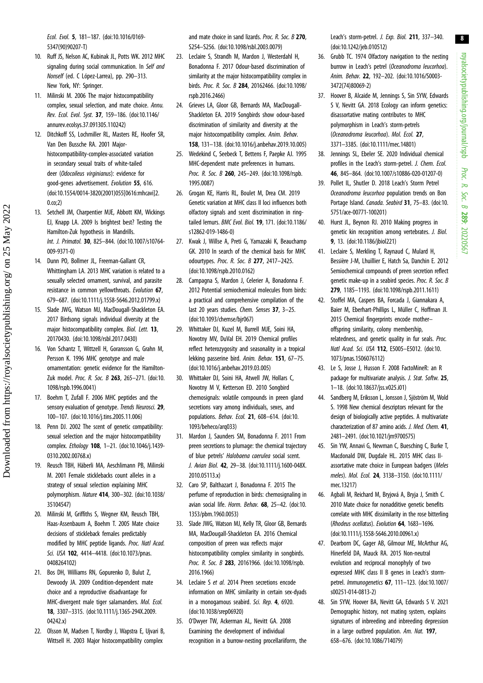<span id="page-7-0"></span>Ecol. Evol. 5, 181–187. ([doi:10.1016/0169-](http://dx.doi.org/10.1016/0169-5347(90)90207-T) [5347\(90\)90207-T](http://dx.doi.org/10.1016/0169-5347(90)90207-T))

- 10. Ruff JS, Nelson AC, Kubinak JL, Potts WK. 2012 MHC signaling during social communication. In Self and Nonself (ed. C López-Larrea), pp. 290–313. New York, NY: Springer.
- 11. Milinski M. 2006 The major histocompatibility complex, sexual selection, and mate choice. Annu. Rev. Ecol. Evol. Syst. 37, 159–186. ([doi:10.1146/](http://dx.doi.org/10.1146/annurev.ecolsys.37.091305.110242) [annurev.ecolsys.37.091305.110242\)](http://dx.doi.org/10.1146/annurev.ecolsys.37.091305.110242)
- 12. Ditchkoff SS, Lochmiller RL, Masters RE, Hoofer SR, Van Den Bussche RA. 2001 Majorhistocompatibility-complex-associated variation in secondary sexual traits of white-tailed deer (Odocoileus virginianus): evidence for good-genes advertisement. Evolution 55, 616. [\(doi:10.1554/0014-3820\(2001\)055\[0616:mhcavi\]2.](https://doi.org/10.1554/0014-3820(2001)055[0616:mhcavi]2.0.co;2) [0.co;2](https://doi.org/10.1554/0014-3820(2001)055[0616:mhcavi]2.0.co;2))
- 13. Setchell JM, Charpentier MJE, Abbott KM, Wickings EJ, Knapp LA. 2009 Is brightest best? Testing the Hamilton-Zuk hypothesis in Mandrills. Int. J. Primatol. 30, 825–844. ([doi:10.1007/s10764-](http://dx.doi.org/10.1007/s10764-009-9371-0) [009-9371-0\)](http://dx.doi.org/10.1007/s10764-009-9371-0)
- 14. Dunn PO, Bollmer JL, Freeman-Gallant CR, Whittingham LA. 2013 MHC variation is related to a sexually selected ornament, survival, and parasite resistance in common yellowthroats. Evolution 67, 679–687. ([doi:10.1111/j.1558-5646.2012.01799.x\)](http://dx.doi.org/10.1111/j.1558-5646.2012.01799.x)
- 15. Slade JWG, Watson MJ, MacDougall-Shackleton EA. 2017 Birdsong signals individual diversity at the major histocompatibility complex. Biol. Lett. 13, 20170430. [\(doi:10.1098/rsbl.2017.0430\)](http://dx.doi.org/10.1098/rsbl.2017.0430)
- 16. Von Schantz T, Wittzell H, Goransson G, Grahn M, Persson K. 1996 MHC genotype and male ornamentation: genetic evidence for the HamiltonZuk model. Proc. R. Soc. B 263, 265-271. ([doi:10.](http://dx.doi.org/10.1098/rspb.1996.0041) [1098/rspb.1996.0041](http://dx.doi.org/10.1098/rspb.1996.0041))
- 17. Boehm T, Zufall F. 2006 MHC peptides and the sensory evaluation of genotype. Trends Neurosci. 29, 100–107. ([doi:10.1016/j.tins.2005.11.006](http://dx.doi.org/10.1016/j.tins.2005.11.006))
- 18. Penn DJ. 2002 The scent of genetic compatibility: sexual selection and the major histocompatibility complex. Ethology 108, 1–21. [\(doi:10.1046/j.1439-](http://dx.doi.org/10.1046/j.1439-0310.2002.00768.x) [0310.2002.00768.x](http://dx.doi.org/10.1046/j.1439-0310.2002.00768.x))
- 19. Reusch TBH, Häberli MA, Aeschlimann PB, Milinski M. 2001 Female sticklebacks count alleles in a strategy of sexual selection explaining MHC polymorphism. Nature 414, 300–302. ([doi:10.1038/](http://dx.doi.org/10.1038/35104547) [35104547](http://dx.doi.org/10.1038/35104547))
- 20. Milinski M, Griffiths S, Wegner KM, Reusch TBH, Haas-Assenbaum A, Boehm T. 2005 Mate choice decisions of stickleback females predictably modified by MHC peptide ligands. Proc. Natl Acad. Sci. USA 102, 4414-4418. ([doi:10.1073/pnas.](http://dx.doi.org/10.1073/pnas.0408264102) [0408264102\)](http://dx.doi.org/10.1073/pnas.0408264102)
- 21. Bos DH, Williams RN, Gopurenko D, Bulut Z, Dewoody JA. 2009 Condition-dependent mate choice and a reproductive disadvantage for MHC-divergent male tiger salamanders. Mol. Ecol. 18, 3307–3315. ([doi:10.1111/j.1365-294X.2009.](http://dx.doi.org/10.1111/j.1365-294X.2009.04242.x) [04242.x\)](http://dx.doi.org/10.1111/j.1365-294X.2009.04242.x)
- 22. Olsson M, Madsen T, Nordby J, Wapstra E, Ujvari B, Wittsell H. 2003 Major histocompatibility complex

and mate choice in sand lizards. Proc. R. Soc. B 270, S254–S256. ([doi:10.1098/rsbl.2003.0079\)](http://dx.doi.org/10.1098/rsbl.2003.0079)

- 23. Leclaire S, Strandh M, Mardon J, Westerdahl H, Bonadonna F. 2017 Odour-based discrimination of similarity at the major histocompatibility complex in birds. Proc. R. Soc. B 284, 20162466. [\(doi:10.1098/](http://dx.doi.org/10.1098/rspb.2016.2466) [rspb.2016.2466](http://dx.doi.org/10.1098/rspb.2016.2466))
- 24. Grieves LA, Gloor GB, Bernards MA, MacDougall-Shackleton EA. 2019 Songbirds show odour-based discrimination of similarity and diversity at the major histocompatibility complex. Anim. Behav. 158, 131–138. [\(doi:10.1016/j.anbehav.2019.10.005\)](http://dx.doi.org/10.1016/j.anbehav.2019.10.005)
- 25. Wedekind C, Seebeck T, Bettens F, Paepke AJ. 1995 MHC-dependent mate preferences in humans. Proc. R. Soc. B 260, 245-249. ([doi:10.1098/rspb.](http://dx.doi.org/10.1098/rspb.1995.0087) [1995.0087\)](http://dx.doi.org/10.1098/rspb.1995.0087)
- 26. Grogan KE, Harris RL, Boulet M, Drea CM. 2019 Genetic variation at MHC class II loci influences both olfactory signals and scent discrimination in ringtailed lemurs. BMC Evol. Biol. 19, 171. [\(doi:10.1186/](http://dx.doi.org/10.1186/s12862-019-1486-0) [s12862-019-1486-0\)](http://dx.doi.org/10.1186/s12862-019-1486-0)
- 27. Kwak J, Willse A, Preti G, Yamazaki K, Beauchamp GK. 2010 In search of the chemical basis for MHC odourtypes. Proc. R. Soc. B 277, 2417–2425. [\(doi:10.1098/rspb.2010.0162\)](http://dx.doi.org/10.1098/rspb.2010.0162)
- 28. Campagna S, Mardon J, Celerier A, Bonadonna F. 2012 Potential semiochemical molecules from birds: a practical and comprehensive compilation of the last 20 years studies. Chem. Senses 37, 3-25. [\(doi:10.1093/chemse/bjr067](http://dx.doi.org/10.1093/chemse/bjr067))
- 29. Whittaker DJ, Kuzel M, Burrell MJE, Soini HA, Novotny MV, DuVal EH. 2019 Chemical profiles reflect heterozygosity and seasonality in a tropical lekking passerine bird. Anim. Behav. 151, 67–75. [\(doi:10.1016/j.anbehav.2019.03.005\)](http://dx.doi.org/10.1016/j.anbehav.2019.03.005)
- 30. Whittaker DJ, Soini HA, Atwell JW, Hollars C, Novotny M V, Ketterson ED. 2010 Songbird chemosignals: volatile compounds in preen gland secretions vary among individuals, sexes, and populations. Behav. Ecol. 21, 608–614. ([doi:10.](https://doi.org/10.1093/beheco/arq033) [1093/beheco/arq033\)](https://doi.org/10.1093/beheco/arq033)
- 31. Mardon J, Saunders SM, Bonadonna F. 2011 From preen secretions to plumage: the chemical trajectory of blue petrels' Halobaena caerulea social scent. J. Avian Biol. 42, 29–38. ([doi:10.1111/j.1600-048X.](http://dx.doi.org/10.1111/j.1600-048X.2010.05113.x) [2010.05113.x\)](http://dx.doi.org/10.1111/j.1600-048X.2010.05113.x)
- 32. Caro SP, Balthazart J, Bonadonna F. 2015 The perfume of reproduction in birds: chemosignaling in avian social life. Horm. Behav. 68, 25–42. [\(doi:10.](http://dx.doi.org/10.1353/pbm.1960.0053) [1353/pbm.1960.0053\)](http://dx.doi.org/10.1353/pbm.1960.0053)
- 33. Slade JWG, Watson MJ, Kelly TR, Gloor GB, Bernards MA, MacDougall-Shackleton EA. 2016 Chemical composition of preen wax reflects major histocompatibility complex similarity in songbirds. Proc. R. Soc. B 283, 20161966. [\(doi:10.1098/rspb.](http://dx.doi.org/10.1098/rspb.2016.1966) [2016.1966\)](http://dx.doi.org/10.1098/rspb.2016.1966)
- 34. Leclaire S et al. 2014 Preen secretions encode information on MHC similarity in certain sex-dyads in a monogamous seabird. Sci. Rep. 4, 6920. [\(doi:10.1038/srep06920\)](http://dx.doi.org/10.1038/srep06920)
- 35. O'Dwyer TW, Ackerman AL, Nevitt GA. 2008 Examining the development of individual recognition in a burrow-nesting procellariiform, the

Leach's storm-petrel. J. Exp. Biol. 211, 337-340. ([doi:10.1242/jeb.010512\)](http://dx.doi.org/10.1242/jeb.010512)

- 36. Grubb TC. 1974 Olfactory navigation to the nesting burrow in Leach's petrel (Oceanodroma leucorhoa). Anim. Behav. 22, 192–202. [\(doi:10.1016/S0003-](https://doi.org/10.1016/S0003-3472(74)80069-2) [3472\(74\)80069-2](https://doi.org/10.1016/S0003-3472(74)80069-2))
- 37. Hoover B, Alcaide M, Jennings S, Sin SYW, Edwards S V, Nevitt GA. 2018 Ecology can inform genetics: disassortative mating contributes to MHC polymorphism in Leach's storm-petrels (Oceanodroma leucorhoa). Mol. Ecol. 27, 3371–3385. [\(doi:10.1111/mec.14801\)](http://dx.doi.org/10.1111/mec.14801)
- 38. Jennings SL, Ebeler SE. 2020 Individual chemical profiles in the Leach's storm-petrel. J. Chem. Ecol. 46, 845–864. ([doi:10.1007/s10886-020-01207-0](https://doi.org/10.1007/s10886-020-01207-0))
- 39. Pollet IL, Shutler D. 2018 Leach's Storm Petrel Oceanodroma leucorhoa population trends on Bon Portage Island. Canada. Seabird 31, 75–83. [\(doi:10.](http://dx.doi.org/10.5751/ace-00771-100201) [5751/ace-00771-100201](http://dx.doi.org/10.5751/ace-00771-100201))
- 40. Hurst JL, Beynon RJ. 2010 Making progress in genetic kin recognition among vertebrates. J. Biol. 9, 13. ([doi:10.1186/jbiol221](http://dx.doi.org/10.1186/jbiol221))
- 41. Leclaire S, Merkling T, Raynaud C, Mulard H, Bessière J-M, Lhuillier E, Hatch Sa, Danchin E. 2012 Semiochemical compounds of preen secretion reflect genetic make-up in a seabird species. Proc. R. Soc. B 279, 1185–1193. [\(doi:10.1098/rspb.2011.1611\)](http://dx.doi.org/10.1098/rspb.2011.1611)
- 42. Stoffel MA, Caspers BA, Forcada J, Giannakara A, Baier M, Eberhart-Phillips L, Müller C, Hoffman JI. 2015 Chemical fingerprints encode mother– offspring similarity, colony membership, relatedness, and genetic quality in fur seals. Proc. Natl Acad. Sci. USA 112, E5005–E5012. [\(doi:10.](http://dx.doi.org/10.1073/pnas.1506076112) [1073/pnas.1506076112\)](http://dx.doi.org/10.1073/pnas.1506076112)
- 43. Le S, Josse J, Husson F. 2008 FactoMineR: an R package for multivariate analysis. J. Stat. Softw. 25, 1–18. [\(doi:10.18637/jss.v025.i01\)](http://dx.doi.org/10.18637/jss.v025.i01)
- 44. Sandberg M, Eriksson L, Jonsson J, Sjöström M, Wold S. 1998 New chemical descriptors relevant for the design of biologically active peptides. A multivariate characterization of 87 amino acids. J. Med. Chem. 41, 2481–2491. [\(doi:10.1021/jm9700575\)](http://dx.doi.org/10.1021/jm9700575)
- 45. Sin YW, Annavi G, Newman C, Buesching C, Burke T, Macdonald DW, Dugdale HL. 2015 MHC class IIassortative mate choice in European badgers (Meles meles). Mol. Ecol. 24, 3138–3150. ([doi:10.1111/](http://dx.doi.org/10.1111/mec.13217) [mec.13217\)](http://dx.doi.org/10.1111/mec.13217)
- 46. Agbali M, Reichard M, Bryjová A, Bryja J, Smith C. 2010 Mate choice for nonadditive genetic benefits correlate with MHC dissimilarity in the rose bitterling (Rhodeus ocellatus). Evolution 64, 1683–1696. ([doi:10.1111/j.1558-5646.2010.00961.x](http://dx.doi.org/10.1111/j.1558-5646.2010.00961.x))
- 47. Dearborn DC, Gager AB, Gilmour ME, McArthur AG, Hinerfeld DA, Mauck RA. 2015 Non-neutral evolution and reciprocal monophyly of two expressed MHC class II B genes in Leach's stormpetrel. Immunogenetics 67, 111–123. [\(doi:10.1007/](http://dx.doi.org/10.1007/s00251-014-0813-2) [s00251-014-0813-2](http://dx.doi.org/10.1007/s00251-014-0813-2))
- 48. Sin SYW, Hoover BA, Nevitt GA, Edwards S V. 2021 Demographic history, not mating system, explains signatures of inbreeding and inbreeding depression in a large outbred population. Am. Nat. 197, 658–676. [\(doi:10.1086/714079](http://dx.doi.org/10.1086/714079))